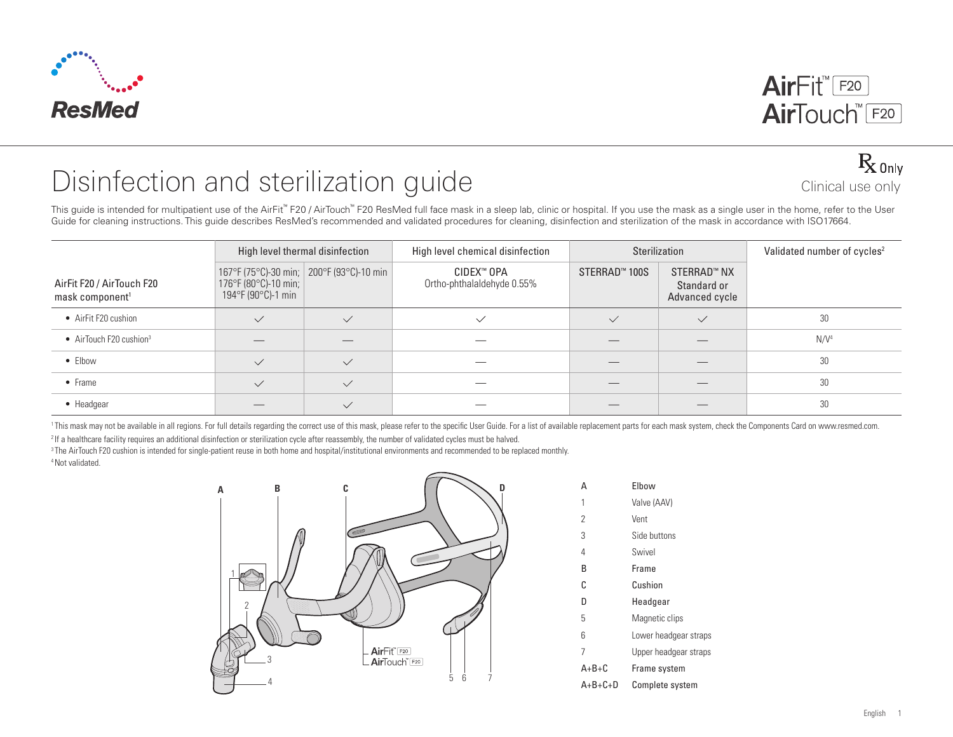



## B<sub>only</sub><br>Disinfection and sterilization guide Clinical use only

This guide is intended for multipatient use of the AirFit™ F20 / AirTouch™ F20 ResMed full face mask in a sleep lab, clinic or hospital. If you use the mask as a single user in the home, refer to the User Guide for cleaning instructions. This guide describes ResMed's recommended and validated procedures for cleaning, disinfection and sterilization of the mask in accordance with ISO17664.

|                                                          |                                            | High level thermal disinfection            | High level chemical disinfection         |               | Sterilization                                | Validated number of cycles <sup>2</sup> |
|----------------------------------------------------------|--------------------------------------------|--------------------------------------------|------------------------------------------|---------------|----------------------------------------------|-----------------------------------------|
| AirFit F20 / AirTouch F20<br>mask component <sup>1</sup> | 176°F (80°C)-10 min;<br>194°F (90°C)-1 min | 167°F (75°C)-30 min;   200°F (93°C)-10 min | CIDEX™ OPA<br>Ortho-phthalaldehyde 0.55% | STERRAD™ 100S | STERRAD™ NX<br>Standard or<br>Advanced cycle |                                         |
| • AirFit F20 cushion                                     | $\checkmark$                               | $\checkmark$                               | $\checkmark$                             | $\checkmark$  | $\checkmark$                                 | 30                                      |
| • AirTouch F20 cushion <sup>3</sup>                      |                                            |                                            |                                          |               |                                              | N/V <sup>4</sup>                        |
| $\bullet$ Elbow                                          | $\checkmark$                               | $\checkmark$                               |                                          |               |                                              | 30                                      |
| $\bullet$ Frame                                          | $\checkmark$                               | $\checkmark$                               |                                          |               |                                              | 30                                      |
| • Headgear                                               |                                            | $\checkmark$                               |                                          |               |                                              | 30                                      |

<sup>1</sup>This mask may not be available in all regions. For full details regarding the correct use of this mask, please refer to the specific User Guide. For a list of available replacement parts for each mask system, check the <sup>2</sup> If a healthcare facility requires an additional disinfection or sterilization cycle after reassembly, the number of validated cycles must be halved.

<sup>3</sup> The AirTouch F20 cushion is intended for single-patient reuse in both home and hospital/institutional environments and recommended to be replaced monthly. 4 Not validated.



| D | А         | Elbow                 |
|---|-----------|-----------------------|
|   | 1         | Valve (AAV)           |
|   | 2         | Vent                  |
|   | 3         | Side buttons          |
|   | 4         | Swivel                |
|   | В         | Frame                 |
|   | C         | Cushion               |
|   | D         | Headgear              |
|   | 5         | Magnetic clips        |
|   | 6         | Lower headgear straps |
|   | 7         | Upper headgear straps |
|   | $A+B+C$   | Frame system          |
|   | $A+B+C+D$ | Complete system       |
|   |           |                       |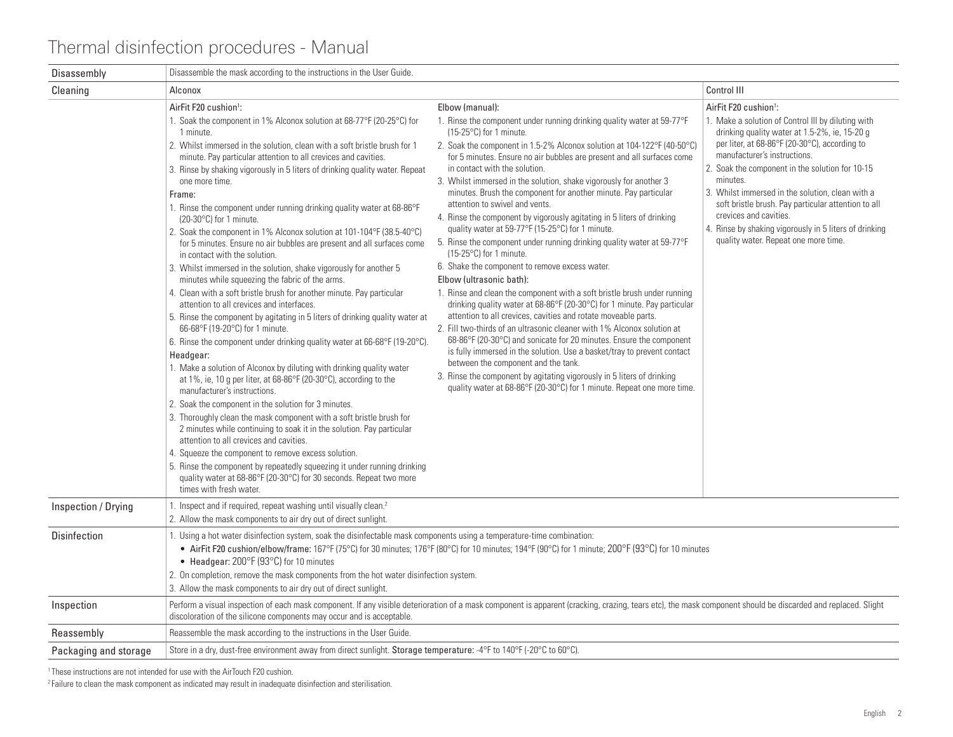| Disassembly           | Disassemble the mask according to the instructions in the User Guide.                                                                                                                                                                                                                                                                                                                                                                                                                                                                                                                                                                                                                                                                                                                                                                                                                                                                                                                                                                                                                                                                                                                                                                                                                                                                                                                                                                                                                                                                                                                                                                                                                                                                                                                                                         |                                                                                                                                                                                                                                                                                                                                                                                                                                                                                                                                                                                                                                                                                                                                                                                                                                                                                                                                                                                                                                                                                                                                                                                                                                                                                                                                                                                                                                                                                                |                                                                                                                                                                                                                                                                                                                                                                                                                                                                                                                                 |
|-----------------------|-------------------------------------------------------------------------------------------------------------------------------------------------------------------------------------------------------------------------------------------------------------------------------------------------------------------------------------------------------------------------------------------------------------------------------------------------------------------------------------------------------------------------------------------------------------------------------------------------------------------------------------------------------------------------------------------------------------------------------------------------------------------------------------------------------------------------------------------------------------------------------------------------------------------------------------------------------------------------------------------------------------------------------------------------------------------------------------------------------------------------------------------------------------------------------------------------------------------------------------------------------------------------------------------------------------------------------------------------------------------------------------------------------------------------------------------------------------------------------------------------------------------------------------------------------------------------------------------------------------------------------------------------------------------------------------------------------------------------------------------------------------------------------------------------------------------------------|------------------------------------------------------------------------------------------------------------------------------------------------------------------------------------------------------------------------------------------------------------------------------------------------------------------------------------------------------------------------------------------------------------------------------------------------------------------------------------------------------------------------------------------------------------------------------------------------------------------------------------------------------------------------------------------------------------------------------------------------------------------------------------------------------------------------------------------------------------------------------------------------------------------------------------------------------------------------------------------------------------------------------------------------------------------------------------------------------------------------------------------------------------------------------------------------------------------------------------------------------------------------------------------------------------------------------------------------------------------------------------------------------------------------------------------------------------------------------------------------|---------------------------------------------------------------------------------------------------------------------------------------------------------------------------------------------------------------------------------------------------------------------------------------------------------------------------------------------------------------------------------------------------------------------------------------------------------------------------------------------------------------------------------|
| Cleaning              | Alconox                                                                                                                                                                                                                                                                                                                                                                                                                                                                                                                                                                                                                                                                                                                                                                                                                                                                                                                                                                                                                                                                                                                                                                                                                                                                                                                                                                                                                                                                                                                                                                                                                                                                                                                                                                                                                       |                                                                                                                                                                                                                                                                                                                                                                                                                                                                                                                                                                                                                                                                                                                                                                                                                                                                                                                                                                                                                                                                                                                                                                                                                                                                                                                                                                                                                                                                                                | Control III                                                                                                                                                                                                                                                                                                                                                                                                                                                                                                                     |
|                       | AirFit F20 cushion <sup>1</sup> :<br>1. Soak the component in 1% Alconox solution at 68-77°F (20-25°C) for<br>1 minute.<br>2. Whilst immersed in the solution, clean with a soft bristle brush for 1<br>minute. Pay particular attention to all crevices and cavities.<br>3. Rinse by shaking vigorously in 5 liters of drinking quality water. Repeat<br>one more time.<br>Frame:<br>1. Rinse the component under running drinking quality water at 68-86°F<br>$(20-30\degree \text{C})$ for 1 minute.<br>2. Soak the component in 1% Alconox solution at 101-104°F (38.5-40°C)<br>for 5 minutes. Ensure no air bubbles are present and all surfaces come<br>in contact with the solution.<br>3. Whilst immersed in the solution, shake vigorously for another 5<br>minutes while squeezing the fabric of the arms.<br>4. Clean with a soft bristle brush for another minute. Pay particular<br>attention to all crevices and interfaces.<br>5. Rinse the component by agitating in 5 liters of drinking quality water at<br>66-68°F (19-20°C) for 1 minute.<br>6. Rinse the component under drinking quality water at 66-68°F (19-20°C).<br>Headgear:<br>1. Make a solution of Alconox by diluting with drinking quality water<br>at 1%, ie, 10 g per liter, at 68-86°F (20-30°C), according to the<br>manufacturer's instructions.<br>2. Soak the component in the solution for 3 minutes.<br>3. Thoroughly clean the mask component with a soft bristle brush for<br>2 minutes while continuing to soak it in the solution. Pay particular<br>attention to all crevices and cavities.<br>4. Squeeze the component to remove excess solution.<br>5. Rinse the component by repeatedly squeezing it under running drinking<br>quality water at 68-86°F (20-30°C) for 30 seconds. Repeat two more<br>times with fresh water. | Elbow (manual):<br>1. Rinse the component under running drinking quality water at 59-77°F<br>$(15-25^{\circ}C)$ for 1 minute.<br>2. Soak the component in 1.5-2% Alconox solution at 104-122°F (40-50°C)<br>for 5 minutes. Ensure no air bubbles are present and all surfaces come<br>in contact with the solution.<br>3. Whilst immersed in the solution, shake vigorously for another 3<br>minutes. Brush the component for another minute. Pay particular<br>attention to swivel and vents.<br>4. Rinse the component by vigorously agitating in 5 liters of drinking<br>quality water at 59-77°F (15-25°C) for 1 minute.<br>5. Rinse the component under running drinking quality water at 59-77°F<br>$(15-25^{\circ}C)$ for 1 minute.<br>6. Shake the component to remove excess water.<br>Elbow (ultrasonic bath):<br>1. Rinse and clean the component with a soft bristle brush under running<br>drinking quality water at 68-86 $\degree$ F (20-30 $\degree$ C) for 1 minute. Pay particular<br>attention to all crevices, cavities and rotate moveable parts.<br>2. Fill two-thirds of an ultrasonic cleaner with 1% Alconox solution at<br>68-86°F (20-30°C) and sonicate for 20 minutes. Ensure the component<br>is fully immersed in the solution. Use a basket/tray to prevent contact<br>between the component and the tank.<br>3. Rinse the component by agitating vigorously in 5 liters of drinking<br>quality water at 68-86°F (20-30°C) for 1 minute. Repeat one more time. | AirFit F20 cushion <sup>1</sup> :<br>1. Make a solution of Control III by diluting with<br>drinking quality water at 1.5-2%, ie, 15-20 g<br>per liter, at 68-86°F (20-30°C), according to<br>manufacturer's instructions.<br>2. Soak the component in the solution for 10-15<br>minutes.<br>3. Whilst immersed in the solution, clean with a<br>soft bristle brush. Pay particular attention to all<br>crevices and cavities.<br>4. Rinse by shaking vigorously in 5 liters of drinking<br>quality water. Repeat one more time. |
| Inspection / Drying   | 1. Inspect and if required, repeat washing until visually clean. <sup>2</sup><br>2. Allow the mask components to air dry out of direct sunlight.                                                                                                                                                                                                                                                                                                                                                                                                                                                                                                                                                                                                                                                                                                                                                                                                                                                                                                                                                                                                                                                                                                                                                                                                                                                                                                                                                                                                                                                                                                                                                                                                                                                                              |                                                                                                                                                                                                                                                                                                                                                                                                                                                                                                                                                                                                                                                                                                                                                                                                                                                                                                                                                                                                                                                                                                                                                                                                                                                                                                                                                                                                                                                                                                |                                                                                                                                                                                                                                                                                                                                                                                                                                                                                                                                 |
| Disinfection          | 1. Using a hot water disinfection system, soak the disinfectable mask components using a temperature-time combination:<br>• Headgear: $200^{\circ}$ F (93 $^{\circ}$ C) for 10 minutes<br>2. On completion, remove the mask components from the hot water disinfection system.<br>3. Allow the mask components to air dry out of direct sunlight.                                                                                                                                                                                                                                                                                                                                                                                                                                                                                                                                                                                                                                                                                                                                                                                                                                                                                                                                                                                                                                                                                                                                                                                                                                                                                                                                                                                                                                                                             | • AirFit F20 cushion/elbow/frame: 167°F (75°C) for 30 minutes; 176°F (80°C) for 10 minutes; 194°F (90°C) for 1 minute; 200°F (93°C) for 10 minutes                                                                                                                                                                                                                                                                                                                                                                                                                                                                                                                                                                                                                                                                                                                                                                                                                                                                                                                                                                                                                                                                                                                                                                                                                                                                                                                                             |                                                                                                                                                                                                                                                                                                                                                                                                                                                                                                                                 |
| Inspection            | discoloration of the silicone components may occur and is acceptable.                                                                                                                                                                                                                                                                                                                                                                                                                                                                                                                                                                                                                                                                                                                                                                                                                                                                                                                                                                                                                                                                                                                                                                                                                                                                                                                                                                                                                                                                                                                                                                                                                                                                                                                                                         | Perform a visual inspection of each mask component. If any visible deterioration of a mask component is apparent (cracking, crazing, tears etc), the mask component should be discarded and replaced. Slight                                                                                                                                                                                                                                                                                                                                                                                                                                                                                                                                                                                                                                                                                                                                                                                                                                                                                                                                                                                                                                                                                                                                                                                                                                                                                   |                                                                                                                                                                                                                                                                                                                                                                                                                                                                                                                                 |
| Reassembly            | Reassemble the mask according to the instructions in the User Guide.                                                                                                                                                                                                                                                                                                                                                                                                                                                                                                                                                                                                                                                                                                                                                                                                                                                                                                                                                                                                                                                                                                                                                                                                                                                                                                                                                                                                                                                                                                                                                                                                                                                                                                                                                          |                                                                                                                                                                                                                                                                                                                                                                                                                                                                                                                                                                                                                                                                                                                                                                                                                                                                                                                                                                                                                                                                                                                                                                                                                                                                                                                                                                                                                                                                                                |                                                                                                                                                                                                                                                                                                                                                                                                                                                                                                                                 |
| Packaging and storage | Store in a dry, dust-free environment away from direct sunlight. Storage temperature: -4°F to 140°F (-20°C to 60°C).                                                                                                                                                                                                                                                                                                                                                                                                                                                                                                                                                                                                                                                                                                                                                                                                                                                                                                                                                                                                                                                                                                                                                                                                                                                                                                                                                                                                                                                                                                                                                                                                                                                                                                          |                                                                                                                                                                                                                                                                                                                                                                                                                                                                                                                                                                                                                                                                                                                                                                                                                                                                                                                                                                                                                                                                                                                                                                                                                                                                                                                                                                                                                                                                                                |                                                                                                                                                                                                                                                                                                                                                                                                                                                                                                                                 |

<sup>1</sup> These instructions are not intended for use with the AirTouch F20 cushion.

<sup>2</sup> Failure to clean the mask component as indicated may result in inadequate disinfection and sterilisation.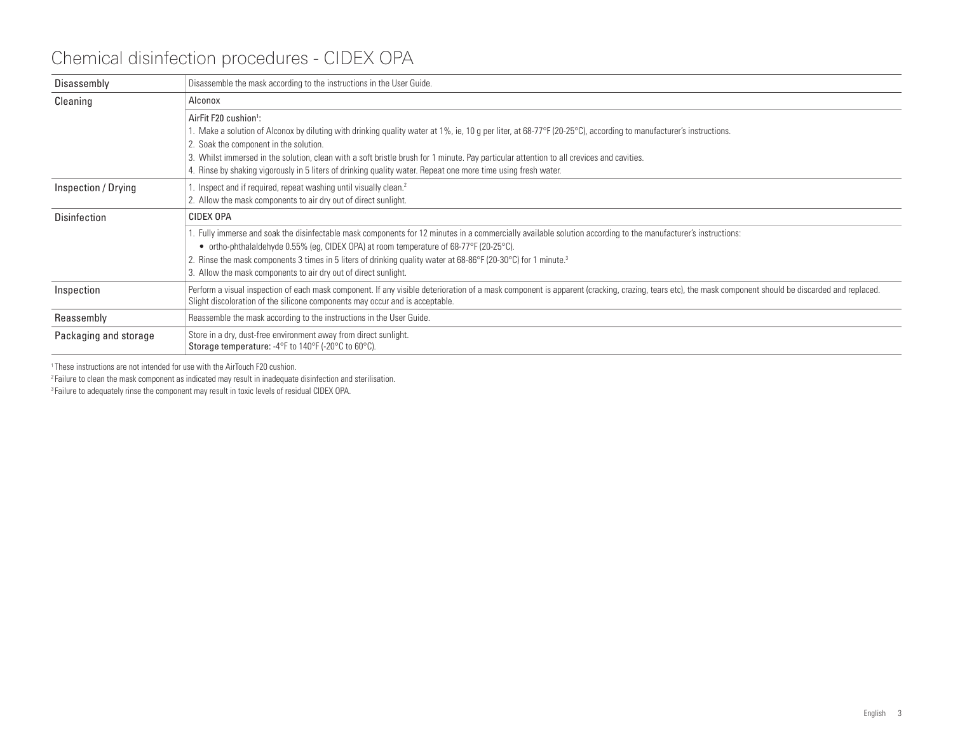## Chemical disinfection procedures - CIDEX OPA

| Disassembly           | Disassemble the mask according to the instructions in the User Guide.                                                                                                                                                                                                                                                                                                                                                                                                       |
|-----------------------|-----------------------------------------------------------------------------------------------------------------------------------------------------------------------------------------------------------------------------------------------------------------------------------------------------------------------------------------------------------------------------------------------------------------------------------------------------------------------------|
| Cleaning              | Alconox                                                                                                                                                                                                                                                                                                                                                                                                                                                                     |
|                       | AirFit F20 cushion <sup>1</sup> :<br>1. Make a solution of Alconox by diluting with drinking quality water at 1%, ie, 10 g per liter, at 68-77 °F (20-25 °C), according to manufacturer's instructions.<br>2. Soak the component in the solution.<br>3. Whilst immersed in the solution, clean with a soft bristle brush for 1 minute. Pay particular attention to all crevices and cavities.                                                                               |
|                       | 4. Rinse by shaking vigorously in 5 liters of drinking quality water. Repeat one more time using fresh water.                                                                                                                                                                                                                                                                                                                                                               |
| Inspection / Drying   | Inspect and if required, repeat washing until visually clean. <sup>2</sup><br>2. Allow the mask components to air dry out of direct sunlight.                                                                                                                                                                                                                                                                                                                               |
| <b>Disinfection</b>   | CIDEX OPA                                                                                                                                                                                                                                                                                                                                                                                                                                                                   |
|                       | . Fully immerse and soak the disinfectable mask components for 12 minutes in a commercially available solution according to the manufacturer's instructions:<br>• ortho-phthalaldehyde 0.55% (eg, CIDEX OPA) at room temperature of 68-77°F (20-25°C).<br>2. Rinse the mask components 3 times in 5 liters of drinking quality water at 68-86 $\degree$ F (20-30 $\degree$ C) for 1 minute. <sup>3</sup><br>3. Allow the mask components to air dry out of direct sunlight. |
| Inspection            | Perform a visual inspection of each mask component. If any visible deterioration of a mask component is apparent (cracking, crazing, tears etc), the mask component should be discarded and replaced.<br>Slight discoloration of the silicone components may occur and is acceptable.                                                                                                                                                                                       |
| Reassembly            | Reassemble the mask according to the instructions in the User Guide.                                                                                                                                                                                                                                                                                                                                                                                                        |
| Packaging and storage | Store in a dry, dust-free environment away from direct sunlight.<br>Storage temperature: -4°F to 140°F (-20°C to 60°C).                                                                                                                                                                                                                                                                                                                                                     |

<sup>1</sup> These instructions are not intended for use with the AirTouch F20 cushion.

<sup>2</sup> Failure to clean the mask component as indicated may result in inadequate disinfection and sterilisation.

<sup>3</sup> Failure to adequately rinse the component may result in toxic levels of residual CIDEX OPA.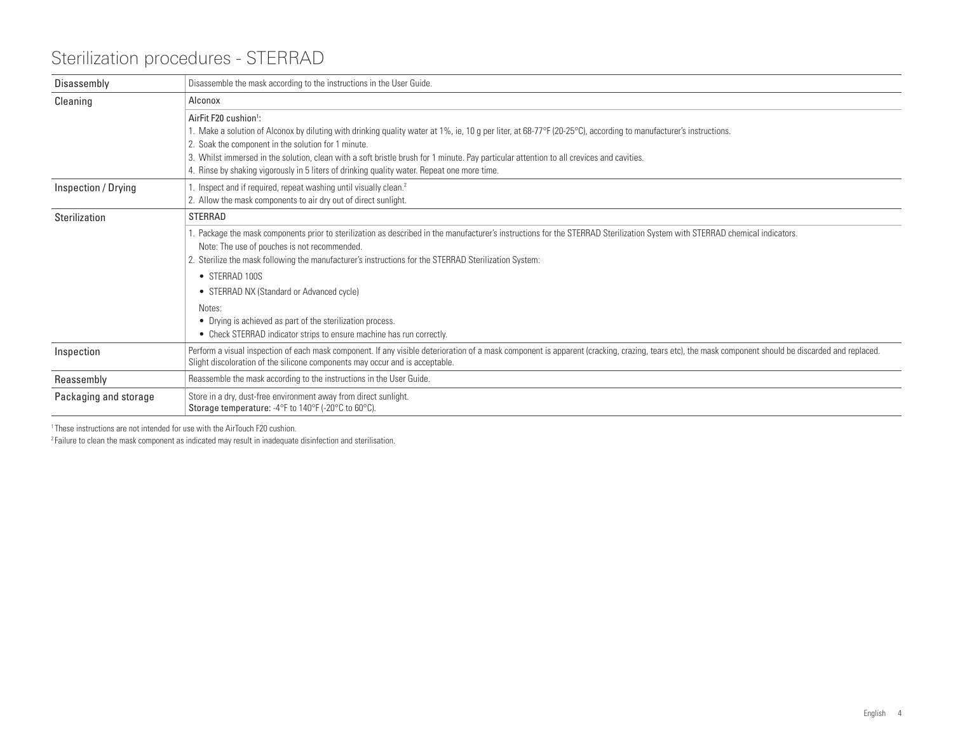## Sterilization procedures - STERRAD

| Disassembly           | Disassemble the mask according to the instructions in the User Guide.                                                                                                                                                                                                                                                                                                                                                                                                                                   |
|-----------------------|---------------------------------------------------------------------------------------------------------------------------------------------------------------------------------------------------------------------------------------------------------------------------------------------------------------------------------------------------------------------------------------------------------------------------------------------------------------------------------------------------------|
| Cleaning              | Alconox                                                                                                                                                                                                                                                                                                                                                                                                                                                                                                 |
|                       | AirFit F20 cushion <sup>1</sup> :<br>1. Make a solution of Alconox by diluting with drinking quality water at 1%, ie, 10 g per liter, at 68-77°F (20-25°C), according to manufacturer's instructions.<br>2. Soak the component in the solution for 1 minute.<br>3. Whilst immersed in the solution, clean with a soft bristle brush for 1 minute. Pay particular attention to all crevices and cavities.<br>4. Rinse by shaking vigorously in 5 liters of drinking quality water. Repeat one more time. |
| Inspection / Drying   | Inspect and if required, repeat washing until visually clean. <sup>2</sup><br>2. Allow the mask components to air dry out of direct sunlight.                                                                                                                                                                                                                                                                                                                                                           |
| Sterilization         | <b>STERRAD</b>                                                                                                                                                                                                                                                                                                                                                                                                                                                                                          |
|                       | Package the mask components prior to sterilization as described in the manufacturer's instructions for the STERRAD Sterilization System with STERRAD chemical indicators.<br>Note: The use of pouches is not recommended.<br>2. Sterilize the mask following the manufacturer's instructions for the STERRAD Sterilization System:                                                                                                                                                                      |
|                       | • STERRAD 100S<br>• STERRAD NX (Standard or Advanced cycle)                                                                                                                                                                                                                                                                                                                                                                                                                                             |
|                       | Notes:<br>• Drying is achieved as part of the sterilization process.<br>• Check STERRAD indicator strips to ensure machine has run correctly.                                                                                                                                                                                                                                                                                                                                                           |
| Inspection            | Perform a visual inspection of each mask component. If any visible deterioration of a mask component is apparent (cracking, crazing, tears etc), the mask component should be discarded and replaced.<br>Slight discoloration of the silicone components may occur and is acceptable.                                                                                                                                                                                                                   |
| Reassembly            | Reassemble the mask according to the instructions in the User Guide.                                                                                                                                                                                                                                                                                                                                                                                                                                    |
| Packaging and storage | Store in a dry, dust-free environment away from direct sunlight.<br>Storage temperature: -4°F to 140°F (-20°C to 60°C).                                                                                                                                                                                                                                                                                                                                                                                 |

<sup>1</sup> These instructions are not intended for use with the AirTouch F20 cushion.

 $2$  Failure to clean the mask component as indicated may result in inadequate disinfection and sterilisation.